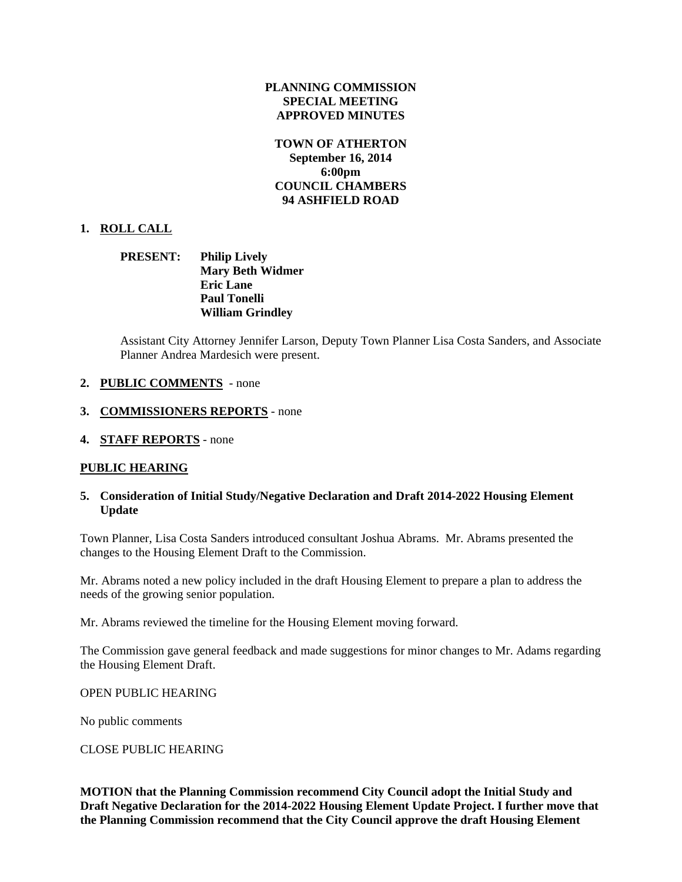## **PLANNING COMMISSION SPECIAL MEETING APPROVED MINUTES**

## **TOWN OF ATHERTON September 16, 2014 6:00pm COUNCIL CHAMBERS 94 ASHFIELD ROAD**

# **1. ROLL CALL**

# **PRESENT: Philip Lively Mary Beth Widmer Eric Lane Paul Tonelli William Grindley**

Assistant City Attorney Jennifer Larson, Deputy Town Planner Lisa Costa Sanders, and Associate Planner Andrea Mardesich were present.

- **2. PUBLIC COMMENTS**  none
- **3. COMMISSIONERS REPORTS** none
- **4. STAFF REPORTS** none

# **PUBLIC HEARING**

### **5. Consideration of Initial Study/Negative Declaration and Draft 2014-2022 Housing Element Update**

Town Planner, Lisa Costa Sanders introduced consultant Joshua Abrams. Mr. Abrams presented the changes to the Housing Element Draft to the Commission.

Mr. Abrams noted a new policy included in the draft Housing Element to prepare a plan to address the needs of the growing senior population.

Mr. Abrams reviewed the timeline for the Housing Element moving forward.

The Commission gave general feedback and made suggestions for minor changes to Mr. Adams regarding the Housing Element Draft.

### OPEN PUBLIC HEARING

No public comments

### CLOSE PUBLIC HEARING

**MOTION that the Planning Commission recommend City Council adopt the Initial Study and Draft Negative Declaration for the 2014-2022 Housing Element Update Project. I further move that the Planning Commission recommend that the City Council approve the draft Housing Element**